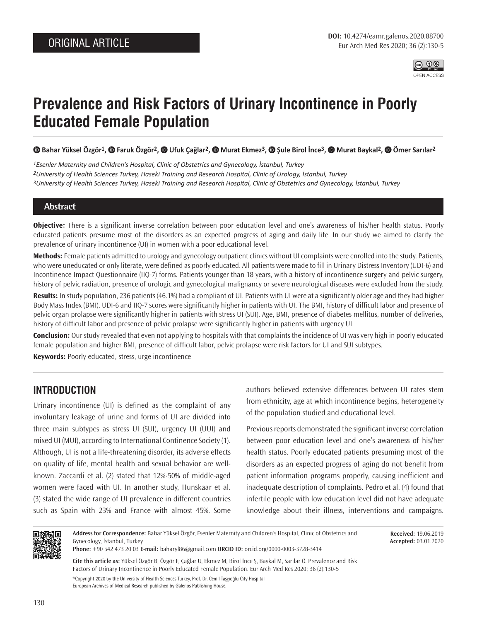

# **Prevalence and Risk Factors of Urinary Incontinence in Poorly Educated Female Population**

**D**Bahar Yüksel Özgör<sup>1</sup>[,](https://orcid.org/0000-0001-8712-7458) **D** Faruk Özgör<sup>2</sup>, **D** Ufuk Çağlar<sup>2</sup>, **D** Murat Ekmez<sup>3</sup>, D Şule Birol İnce<sup>3</sup>, D Murat Baykal<sup>2</sup>, D Ömer Sarılar<sup>2</sup>

*1Esenler Maternity and Children's Hospital, Clinic of Obstetrics and Gynecology, İstanbul, Turkey 2University of Health Sciences Turkey, Haseki Training and Research Hospital, Clinic of Urology, İstanbul, Turkey 3University of Health Sciences Turkey, Haseki Training and Research Hospital, Clinic of Obstetrics and Gynecology, İstanbul, Turkey*

## **Abstract**

**Objective:** There is a significant inverse correlation between poor education level and one's awareness of his/her health status. Poorly educated patients presume most of the disorders as an expected progress of aging and daily life. In our study we aimed to clarify the prevalence of urinary incontinence (UI) in women with a poor educational level.

**Methods:** Female patients admitted to urology and gynecology outpatient clinics without UI complaints were enrolled into the study. Patients, who were uneducated or only literate, were defined as poorly educated. All patients were made to fill in Urinary Distress Inventory (UDI-6) and Incontinence Impact Questionnaire (IIQ-7) forms. Patients younger than 18 years, with a history of incontinence surgery and pelvic surgery, history of pelvic radiation, presence of urologic and gynecological malignancy or severe neurological diseases were excluded from the study.

**Results:** In study population, 236 patients (46.1%) had a compliant of UI. Patients with UI were at a significantly older age and they had higher Body Mass Index (BMI). UDI-6 and IIQ-7 scores were significantly higher in patients with UI. The BMI, history of difficult labor and presence of pelvic organ prolapse were significantly higher in patients with stress UI (SUI). Age, BMI, presence of diabetes mellitus, number of deliveries, history of difficult labor and presence of pelvic prolapse were significantly higher in patients with urgency UI.

**Conclusion:** Our study revealed that even not applying to hospitals with that complaints the incidence of UI was very high in poorly educated female population and higher BMI, presence of difficult labor, pelvic prolapse were risk factors for UI and SUI subtypes.

**Keywords:** Poorly educated, stress, urge incontinence

## **INTRODUCTION**

Urinary incontinence (UI) is defined as the complaint of any involuntary leakage of urine and forms of UI are divided into three main subtypes as stress UI (SUI), urgency UI (UUI) and mixed UI (MUI), according to International Continence Society (1). Although, UI is not a life-threatening disorder, its adverse effects on quality of life, mental health and sexual behavior are wellknown. Zaccardi et al. (2) stated that 12%-50% of middle-aged women were faced with UI. In another study, Hunskaar et al. (3) stated the wide range of UI prevalence in different countries such as Spain with 23% and France with almost 45%. Some authors believed extensive differences between UI rates stem from ethnicity, age at which incontinence begins, heterogeneity of the population studied and educational level.

Previous reports demonstrated the significant inverse correlation between poor education level and one's awareness of his/her health status. Poorly educated patients presuming most of the disorders as an expected progress of aging do not benefit from patient information programs properly, causing inefficient and inadequate description of complaints. Pedro et al. (4) found that infertile people with low education level did not have adequate knowledge about their illness, interventions and campaigns.



**Address for Correspondence:** Bahar Yüksel Özgör, Esenler Maternity and Children's Hospital, Clinic of Obstetrics and Gynecology, İstanbul, Turkey

**Received:** 19.06.2019 **Accepted:** 03.01.2020

**Phone:** +90 542 473 20 03 **E-mail:** baharyl86@gmail.com **ORCID ID:** orcid.org/0000-0003-3728-3414

**Cite this article as:** Yüksel Özgör B, Özgör F, Çağlar U, Ekmez M, Birol İnce Ş, Baykal M, Sarılar Ö. Prevalence and Risk Factors of Urinary Incontinence in Poorly Educated Female Population. Eur Arch Med Res 2020; 36 (2):130-5 ©Copyright 2020 by the University of Health Sciences Turkey, Prof. Dr. Cemil Taşçıoğlu City Hospital European Archives of Medical Research published by Galenos Publishing House.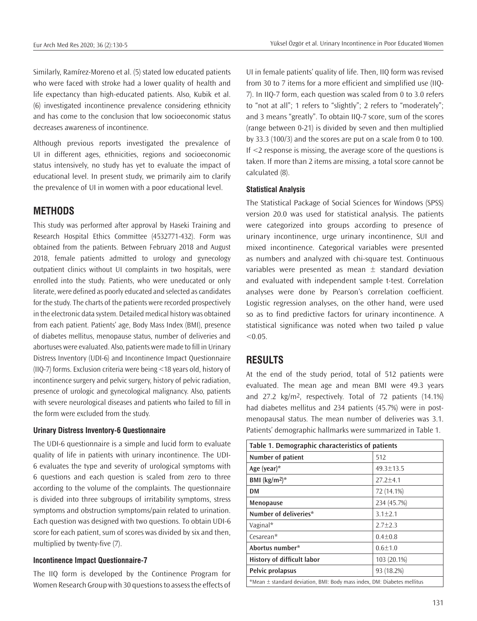Similarly, Ramírez-Moreno et al. (5) stated low educated patients who were faced with stroke had a lower quality of health and life expectancy than high-educated patients. Also, Kubik et al. (6) investigated incontinence prevalence considering ethnicity and has come to the conclusion that low socioeconomic status decreases awareness of incontinence.

Although previous reports investigated the prevalence of UI in different ages, ethnicities, regions and socioeconomic status intensively, no study has yet to evaluate the impact of educational level. In present study, we primarily aim to clarify the prevalence of UI in women with a poor educational level.

## **METHODS**

This study was performed after approval by Haseki Training and Research Hospital Ethics Committee (4532771-432). Form was obtained from the patients. Between February 2018 and August 2018, female patients admitted to urology and gynecology outpatient clinics without UI complaints in two hospitals, were enrolled into the study. Patients, who were uneducated or only literate, were defined as poorly educated and selected as candidates for the study. The charts of the patients were recorded prospectively in the electronic data system. Detailed medical history was obtained from each patient. Patients' age, Body Mass Index (BMI), presence of diabetes mellitus, menopause status, number of deliveries and abortuses were evaluated. Also, patients were made to fill in Urinary Distress Inventory (UDI-6) and Incontinence Impact Questionnaire (IIQ-7) forms. Exclusion criteria were being <18 years old, history of incontinence surgery and pelvic surgery, history of pelvic radiation, presence of urologic and gynecological malignancy. Also, patients with severe neurological diseases and patients who failed to fill in the form were excluded from the study.

### **Urinary Distress Inventory-6 Questionnaire**

The UDI-6 questionnaire is a simple and lucid form to evaluate quality of life in patients with urinary incontinence. The UDI-6 evaluates the type and severity of urological symptoms with 6 questions and each question is scaled from zero to three according to the volume of the complaints. The questionnaire is divided into three subgroups of irritability symptoms, stress symptoms and obstruction symptoms/pain related to urination. Each question was designed with two questions. To obtain UDI-6 score for each patient, sum of scores was divided by six and then, multiplied by twenty-five (7).

#### **Incontinence Impact Questionnaire-7**

The IIQ form is developed by the Continence Program for Women Research Group with 30 questions to assess the effects of

UI in female patients' quality of life. Then, IIQ form was revised from 30 to 7 items for a more efficient and simplified use (IIQ-7). In IIQ-7 form, each question was scaled from 0 to 3.0 refers to "not at all"; 1 refers to "slightly"; 2 refers to "moderately"; and 3 means "greatly". To obtain IIQ-7 score, sum of the scores (range between 0-21) is divided by seven and then multiplied by 33.3 (100/3) and the scores are put on a scale from 0 to 100. If <2 response is missing, the average score of the questions is taken. If more than 2 items are missing, a total score cannot be calculated (8).

#### **Statistical Analysis**

The Statistical Package of Social Sciences for Windows (SPSS) version 20.0 was used for statistical analysis. The patients were categorized into groups according to presence of urinary incontinence, urge urinary incontinence, SUI and mixed incontinence. Categorical variables were presented as numbers and analyzed with chi-square test. Continuous variables were presented as mean  $\pm$  standard deviation and evaluated with independent sample t-test. Correlation analyses were done by Pearson's correlation coefficient. Logistic regression analyses, on the other hand, were used so as to find predictive factors for urinary incontinence. A statistical significance was noted when two tailed p value  $< 0.05$ .

### **RESULTS**

At the end of the study period, total of 512 patients were evaluated. The mean age and mean BMI were 49.3 years and 27.2 kg/m2, respectively. Total of 72 patients (14.1%) had diabetes mellitus and 234 patients (45.7%) were in postmenopausal status. The mean number of deliveries was 3.1. Patients' demographic hallmarks were summarized in Table 1.

| Table 1. Demographic characteristics of patients                               |                 |  |  |  |  |
|--------------------------------------------------------------------------------|-----------------|--|--|--|--|
| Number of patient                                                              | 512             |  |  |  |  |
| Age (year)*                                                                    | $49.3 \pm 13.5$ |  |  |  |  |
| BMI $(kg/m2)*$                                                                 | $27.2 \pm 4.1$  |  |  |  |  |
| <b>DM</b>                                                                      | 72 (14.1%)      |  |  |  |  |
| Menopause                                                                      | 234 (45.7%)     |  |  |  |  |
| Number of deliveries*                                                          | $3.1 + 2.1$     |  |  |  |  |
| Vaginal*                                                                       | $2.7 + 2.3$     |  |  |  |  |
| Cesarean*                                                                      | $0.4 + 0.8$     |  |  |  |  |
| Abortus number*                                                                | $0.6 + 1.0$     |  |  |  |  |
| History of difficult labor                                                     | 103 (20.1%)     |  |  |  |  |
| Pelvic prolapsus                                                               | 93 (18.2%)      |  |  |  |  |
| $*$ Mean $\pm$ standard deviation, BMI: Body mass index, DM: Diabetes mellitus |                 |  |  |  |  |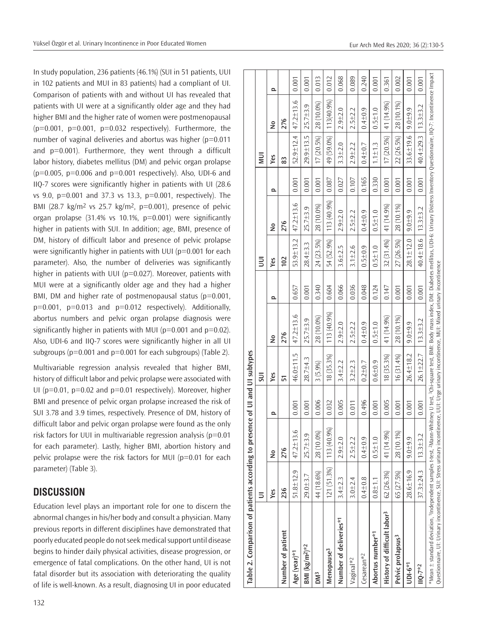In study population, 236 patients (46.1%) (SUI in 51 patients, UUI in 102 patients and MUI in 83 patients) had a compliant of UI. Comparison of patients with and without UI has revealed that patients with UI were at a significantly older age and they had higher BMI and the higher rate of women were postmenopausal  $(p=0.001, p=0.001, p=0.032$  respectively). Furthermore, the number of vaginal deliveries and abortus was higher (p=0.011 and p=0.001). Furthermore, they went through a difficult labor history, diabetes mellitus (DM) and pelvic organ prolapse  $(p=0.005, p=0.006$  and  $p=0.001$  respectively). Also, UDI-6 and IIQ-7 scores were significantly higher in patients with UI (28.6 vs 9.0, p=0.001 and 37.3 vs 13.3, p=0.001, respectively). The BMI (28.7 kg/m<sup>2</sup> vs 25.7 kg/m<sup>2</sup>, p=0.001), presence of pelvic organ prolapse  $(31.4\% \text{ vs } 10.1\% \text{ p} = 0.001)$  were significantly higher in patients with SUI. In addition; age, BMI, presence of DM, history of difficult labor and presence of pelvic prolapse were significantly higher in patients with UUI (p=0.001 for each parameter). Also, the number of deliveries was significantly higher in patients with UUI (p=0.027). Moreover, patients with MUI were at a significantly older age and they had a higher BMI, DM and higher rate of postmenopausal status ( $p=0.001$ ,  $p=0.001$ ,  $p=0.013$  and  $p=0.012$  respectively). Additionally, abortus numbers and pelvic organ prolapse diagnosis were significantly higher in patients with MUI ( $p=0.001$  and  $p=0.02$ ). Also, UDI-6 and IIQ-7 scores were significantly higher in all UI subgroups ( $p=0.001$  and  $p=0.001$  for each subgroups) (Table 2).

Multivariable regression analysis revealed that higher BMI, history of difficult labor and pelvic prolapse were associated with UI ( $p=0.01$ ,  $p=0.02$  and  $p=0.01$  respectively). Moreover, higher BMI and presence of pelvic organ prolapse increased the risk of SUI 3.78 and 3.9 times, respectively. Presence of DM, history of difficult labor and pelvic organ prolapse were found as the only risk factors for UUI in multivariable regression analysis ( $p=0.01$ ) for each parameter). Lastly, higher BMI, abortion history and pelvic prolapse were the risk factors for MUI (p=0.01 for each parameter) (Table 3).

## **DISCUSSION**

Education level plays an important role for one to discern the abnormal changes in his/her body and consult a physician. Many previous reports in different disciplines have demonstrated that poorly educated people do not seek medical support until disease begins to hinder daily physical activities, disease progression, or emergence of fatal complications. On the other hand, UI is not fatal disorder but its association with deteriorating the quality of life is well-known. As a result, diagnosing UI in poor educated

| Table 2. Comparison of patients according to presence of UI and UI subtypes                                                                                                                                                                                                                                                                                            |                 |                |                   |                |               |         |                 |               |          |                 |                 |          |
|------------------------------------------------------------------------------------------------------------------------------------------------------------------------------------------------------------------------------------------------------------------------------------------------------------------------------------------------------------------------|-----------------|----------------|-------------------|----------------|---------------|---------|-----------------|---------------|----------|-----------------|-----------------|----------|
|                                                                                                                                                                                                                                                                                                                                                                        | ⋾               |                |                   | $\overline{5}$ |               |         | $\bar{\exists}$ |               |          | Ξ               |                 |          |
|                                                                                                                                                                                                                                                                                                                                                                        | Yes             | $\frac{1}{2}$  | $\mathbf{\Omega}$ | Yes            | $\frac{1}{2}$ | $\circ$ | Yes             | $\frac{1}{2}$ | $\Omega$ | Yes             | $\frac{1}{2}$   | $\Omega$ |
| Number of patient                                                                                                                                                                                                                                                                                                                                                      | 236             | 276            |                   | 51             | 276           |         | 102             | 276           |          | 83              | 276             |          |
| Age (year)*1                                                                                                                                                                                                                                                                                                                                                           | $51.8 \pm 12.9$ | 47.2±13.6      | 0.001             | 46.0±11.5      | 47.2±13.6     | 0.657   | 53.9±13.2       | 47.2±13.6     | 0.001    | $52.9 \pm 12.4$ | $47.2 \pm 13.6$ | 0.001    |
| $BMI (kg/m2)*2$                                                                                                                                                                                                                                                                                                                                                        | 29.0±3.7        | $25.7 \pm 3.9$ | 0.001             | 28.7±4.3       | 25.7±3.9      | 0.001   | 28.4±3.3        | 25.7±3.9      | 0.001    | 29.9±13.5       | $25.7 \pm 3.9$  | 0.001    |
| DM <sub>3</sub>                                                                                                                                                                                                                                                                                                                                                        | 44 (18.6%)      | 28 (10.0%)     | 0.006             | 3(5.9%)        | 28 (10.0%)    | 0.340   | 24 (23.5%)      | 28 (10.0%)    | 0.001    | 17 (20.5%)      | 28 (10.0%)      | 0.013    |
| Menopause <sup>3</sup>                                                                                                                                                                                                                                                                                                                                                 | 121 (51.3%)     | 113 (40.9%)    | 0.032             | 18 (35.3%)     | 113 (40.9%)   | 0.604   | 54 (52.9%)      | 113 (40.9%)   | 0.087    | 49 (59.0%)      | 113(40.9%)      | 0.012    |
| Number of deliveries*1                                                                                                                                                                                                                                                                                                                                                 | $3.4 + 2.3$     | $2.9 + 2.0$    | 0.005             | $3.4 + 2.2$    | $2.9 + 2.0$   | 0.066   | $3.6 + 2.5$     | $2.9 + 2.0$   | 0.027    | $3.3 + 2.0$     | $2.9 + 2.0$     | 0.068    |
| Vaginal* <sup>2</sup>                                                                                                                                                                                                                                                                                                                                                  | $3.0 + 2.4$     | $2.5 + 2.2$    | 0.011             | $3.2 \pm 2.3$  | $2.5 + 2.2$   | 0.036   | $3.1 \pm 2.6$   | $2.5 + 2.2$   | 0.107    | $2.9 + 2.2$     | $2.5 + 2.2$     | 0.089    |
| Cesarean*2                                                                                                                                                                                                                                                                                                                                                             | $0.4 + 0.8$     | $0.4 + 0.9$    | 0.496             | $0.2 + 0.7$    | $0.4 + 0.9$   | 0.048   | $0.5 + 0.9$     | $0.4 + 0.9$   | 0.165    | $0.4 + 0.7$     | $0.4 + 0.9$     | 0.240    |
| Abortus number*1                                                                                                                                                                                                                                                                                                                                                       | $0.8 + 1.1$     | $0.5 + 1.0$    | 0.001             | $0.6 + 0.9$    | $0.5 + 1.0$   | 0.124   | $0.5 + 1.0$     | $0.5 + 1.0$   | 0.330    | $1.1 \pm 1.3$   | $0.5 + 1.0$     | 0.001    |
| History of difficult labor <sup>3</sup>                                                                                                                                                                                                                                                                                                                                | 62 (26.3%)      | 41 (14.9%)     | 0.005             | 18 (35.3%)     | 41 (14.9%)    | 0.147   | 32 (31.4%)      | 41 (14.9%)    | 0.001    | 17 (20.5%)      | 41 (14.9%)      | 0.361    |
| Pelvic prolapsus <sup>3</sup>                                                                                                                                                                                                                                                                                                                                          | 65 (27.5%)      | 28 (10.1%)     | 0.001             | 16(31.4%)      | 28 (10.1%)    | 0.001   | 27 (26.5%)      | 28 (10.1%)    | 0.001    | 22 (26.5%)      | 28 (10.1%)      | 0.002    |
| $UDI - 6*1$                                                                                                                                                                                                                                                                                                                                                            | 28.6±16.9       | $9.0 + 9.9$    | 0.001             | 26.4±18.2      | $9.0 + 9.9$   | 0.001   | 28.1±12.0       | $9.0 + 9.9$   | 0.001    | $33.6 \pm 19.6$ | $9.0 + 9.9$     | 0.001    |
| $110 - 7*2$                                                                                                                                                                                                                                                                                                                                                            | 37.3±24.3       | $13.3 + 3.2$   | 0.001             | 26.1±22.7      | $13.3 + 3.2$  | 0.001   | 40.4±18.6       | $13.3 + 3.2$  | 0.001    | $40.4 \pm 29.3$ | $13.3 + 3.2$    | 0.001    |
| *Mean ± standard deviation, "Independent samples +test, ?Mann-Whitney U test, 3Chi-square test, BMI: Body mass index, DM: Diabetes mellitus, UDI-6: Urinary Distress Inventory Questionnaire, IIQ-7: Incontinence Impact<br>Questionnaire, Ul: Urinary incontinence, SUI: Stress urinary incontinence, UUI: Urge urinary incontinence, MUI: Mixed urinary incontinence |                 |                |                   |                |               |         |                 |               |          |                 |                 |          |

 $\lfloor -|_{\infty} |_{\infty} |_{\infty} |_{\infty} |_{\infty} |_{\infty} |_{\infty} |_{\infty}$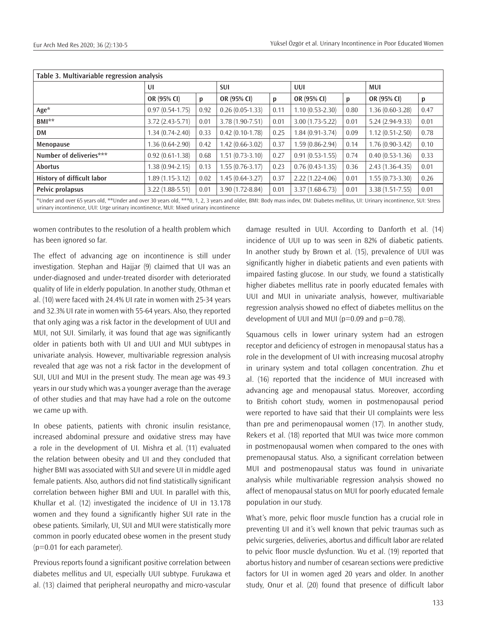| Table 3. Multivariable regression analysis                                                                                                                                                                                                                              |                     |      |                     |      |                     |      |                     |      |
|-------------------------------------------------------------------------------------------------------------------------------------------------------------------------------------------------------------------------------------------------------------------------|---------------------|------|---------------------|------|---------------------|------|---------------------|------|
|                                                                                                                                                                                                                                                                         | UI                  |      | <b>SUI</b>          |      | UUI                 |      | MUI                 |      |
|                                                                                                                                                                                                                                                                         | OR (95% CI)         | р    | OR (95% CI)         | p    | OR (95% CI)         | p    | OR (95% CI)         | p    |
| Age*                                                                                                                                                                                                                                                                    | $0.97(0.54-1.75)$   | 0.92 | $0.26(0.05-1.33)$   | 0.11 | $1.10(0.53 - 2.30)$ | 0.80 | $1.36(0.60-3.28)$   | 0.47 |
| BMI**                                                                                                                                                                                                                                                                   | $3.72$ (2.43-5.71)  | 0.01 | 3.78 (1.90-7.51)    | 0.01 | 3.00 (1.73-5.22)    | 0.01 | $5.24(2.94-9.33)$   | 0.01 |
| <b>DM</b>                                                                                                                                                                                                                                                               | $1.34(0.74 - 2.40)$ | 0.33 | $0.42(0.10-1.78)$   | 0.25 | $1.84(0.91-3.74)$   | 0.09 | $1.12(0.51 - 2.50)$ | 0.78 |
| Menopause                                                                                                                                                                                                                                                               | $1.36(0.64 - 2.90)$ | 0.42 | 1.42 (0.66-3.02)    | 0.37 | $1.59(0.86 - 2.94)$ | 0.14 | $1.76(0.90-3.42)$   | 0.10 |
| Number of deliveries***                                                                                                                                                                                                                                                 | $0.92(0.61-1.38)$   | 0.68 | $1.51(0.73-3.10)$   | 0.27 | $0.91(0.53-1.55)$   | 0.74 | $0.40(0.53-1.36)$   | 0.33 |
| <b>Abortus</b>                                                                                                                                                                                                                                                          | $1.38(0.94 - 2.15)$ | 0.13 | $1.55(0.76-3.17)$   | 0.23 | $0.76(0.43-1.35)$   | 0.36 | 2.43 (1.36-4.35)    | 0.01 |
| History of difficult labor                                                                                                                                                                                                                                              | $1.89(1.15-3.12)$   | 0.02 | $1.45(0.64 - 3.27)$ | 0.37 | $2.22(1.22 - 4.06)$ | 0.01 | $1.55(0.73-3.30)$   | 0.26 |
| Pelvic prolapsus                                                                                                                                                                                                                                                        | 3.22 (1.88-5.51)    | 0.01 | 3.90 (1.72-8.84)    | 0.01 | $3.37(1.68-6.73)$   | 0.01 | 3.38 (1.51-7.55)    | 0.01 |
| *Under and over 65 years old, **Under and over 30 years old, ***0, 1, 2, 3 years and older, BMI: Body mass index, DM: Diabetes mellitus, UI: Urinary incontinence, SUI: Stress<br>urinary incontinence, UUI: Urge urinary incontinence, MUI: Mixed urinary incontinence |                     |      |                     |      |                     |      |                     |      |

women contributes to the resolution of a health problem which has been ignored so far.

The effect of advancing age on incontinence is still under investigation. Stephan and Hajjar (9) claimed that UI was an under-diagnosed and under-treated disorder with deteriorated quality of life in elderly population. In another study, Othman et al. (10) were faced with 24.4% UI rate in women with 25-34 years and 32.3% UI rate in women with 55-64 years. Also, they reported that only aging was a risk factor in the development of UUI and MUI, not SUI. Similarly, it was found that age was significantly older in patients both with UI and UUI and MUI subtypes in univariate analysis. However, multivariable regression analysis revealed that age was not a risk factor in the development of SUI, UUI and MUI in the present study. The mean age was 49.3 years in our study which was a younger average than the average of other studies and that may have had a role on the outcome we came up with.

In obese patients, patients with chronic insulin resistance, increased abdominal pressure and oxidative stress may have a role in the development of UI. Mishra et al. (11) evaluated the relation between obesity and UI and they concluded that higher BMI was associated with SUI and severe UI in middle aged female patients. Also, authors did not find statistically significant correlation between higher BMI and UUI. In parallel with this, Khullar et al. (12) investigated the incidence of UI in 13.178 women and they found a significantly higher SUI rate in the obese patients. Similarly, UI, SUI and MUI were statistically more common in poorly educated obese women in the present study (p=0.01 for each parameter).

Previous reports found a significant positive correlation between diabetes mellitus and UI, especially UUI subtype. Furukawa et al. (13) claimed that peripheral neuropathy and micro-vascular

damage resulted in UUI. According to Danforth et al. (14) incidence of UUI up to was seen in 82% of diabetic patients. In another study by Brown et al. (15), prevalence of UUI was significantly higher in diabetic patients and even patients with impaired fasting glucose. In our study, we found a statistically higher diabetes mellitus rate in poorly educated females with UUI and MUI in univariate analysis, however, multivariable regression analysis showed no effect of diabetes mellitus on the development of UUI and MUI ( $p=0.09$  and  $p=0.78$ ).

Squamous cells in lower urinary system had an estrogen receptor and deficiency of estrogen in menopausal status has a role in the development of UI with increasing mucosal atrophy in urinary system and total collagen concentration. Zhu et al. (16) reported that the incidence of MUI increased with advancing age and menopausal status. Moreover, according to British cohort study, women in postmenopausal period were reported to have said that their UI complaints were less than pre and perimenopausal women (17). In another study, Rekers et al. (18) reported that MUI was twice more common in postmenopausal women when compared to the ones with premenopausal status. Also, a significant correlation between MUI and postmenopausal status was found in univariate analysis while multivariable regression analysis showed no affect of menopausal status on MUI for poorly educated female population in our study.

What's more, pelvic floor muscle function has a crucial role in preventing UI and it's well known that pelvic traumas such as pelvic surgeries, deliveries, abortus and difficult labor are related to pelvic floor muscle dysfunction. Wu et al. (19) reported that abortus history and number of cesarean sections were predictive factors for UI in women aged 20 years and older. In another study, Onur et al. (20) found that presence of difficult labor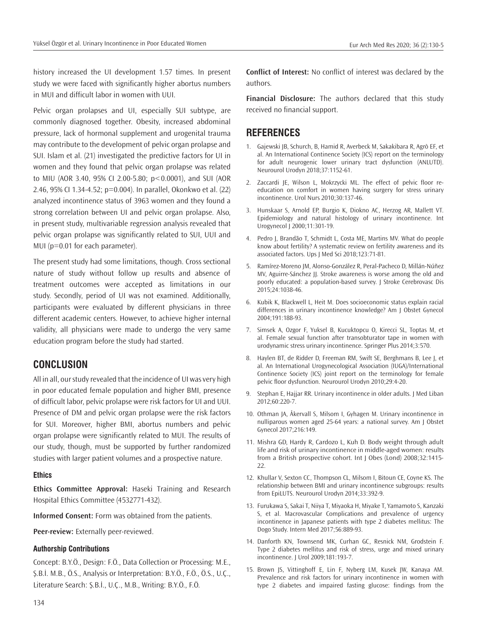history increased the UI development 1.57 times. In present study we were faced with significantly higher abortus numbers in MUI and difficult labor in women with UUI.

Pelvic organ prolapses and UI, especially SUI subtype, are commonly diagnosed together. Obesity, increased abdominal pressure, lack of hormonal supplement and urogenital trauma may contribute to the development of pelvic organ prolapse and SUI. Islam et al. (21) investigated the predictive factors for UI in women and they found that pelvic organ prolapse was related to MIU (AOR 3.40, 95% CI 2.00-5.80; p<0.0001), and SUI (AOR 2.46, 95% CI 1.34-4.52; p=0.004). In parallel, Okonkwo et al. (22) analyzed incontinence status of 3963 women and they found a strong correlation between UI and pelvic organ prolapse. Also, in present study, multivariable regression analysis revealed that pelvic organ prolapse was significantly related to SUI, UUI and MUI (p=0.01 for each parameter).

The present study had some limitations, though. Cross sectional nature of study without follow up results and absence of treatment outcomes were accepted as limitations in our study. Secondly, period of UI was not examined. Additionally, participants were evaluated by different physicians in three different academic centers. However, to achieve higher internal validity, all physicians were made to undergo the very same education program before the study had started.

## **CONCLUSION**

All in all, our study revealed that the incidence of UI was very high in poor educated female population and higher BMI, presence of difficult labor, pelvic prolapse were risk factors for UI and UUI. Presence of DM and pelvic organ prolapse were the risk factors for SUI. Moreover, higher BMI, abortus numbers and pelvic organ prolapse were significantly related to MUI. The results of our study, though, must be supported by further randomized studies with larger patient volumes and a prospective nature.

### **Ethics**

**Ethics Committee Approval:** Haseki Training and Research Hospital Ethics Committee (4532771-432).

**Informed Consent:** Form was obtained from the patients.

**Peer-review:** Externally peer-reviewed.

### **Authorship Contributions**

Concept: B.Y.Ö., Design: F.Ö., Data Collection or Processing: M.E., Ş.B.İ. M.B., Ö.S., Analysis or Interpretation: B.Y.Ö., F.Ö., Ö.S., U.Ç., Literature Search: Ş.B.İ., U.Ç., M.B., Writing: B.Y.Ö., F.Ö.

**Conflict of Interest:** No conflict of interest was declared by the authors.

**Financial Disclosure:** The authors declared that this study received no financial support.

# **REFERENCES**

- 1. Gajewski JB, Schurch, B, Hamid R, Averbeck M, Sakakibara R, Agrò EF, et al. An International Continence Society (ICS) report on the terminology for adult neurogenic lower urinary tract dysfunction (ANLUTD). Neurourol Urodyn 2018;37:1152-61.
- 2. Zaccardi JE, Wilson L, Mokrzycki ML. The effect of pelvic floor reeducation on comfort in women having surgery for stress urinary incontinence. Urol Nurs 2010;30:137-46.
- 3. Hunskaar S, Arnold EP, Burgio K, Diokno AC, Herzog AR, Mallett VT. Epidemiology and natural histology of urinary incontinence. Int Urogynecol J 2000;11:301-19.
- 4. Pedro J, Brandão T, Schmidt L, Costa ME, Martins MV. What do people know about fertility? A systematic review on fertility awareness and its associated factors. Ups J Med Sci 2018;123:71-81.
- 5. Ramírez-Moreno JM, Alonso-González R, Peral-Pacheco D, Millán-Núñez MV, Aguirre-Sánchez JJ. Stroke awareness is worse among the old and poorly educated: a population-based survey. J Stroke Cerebrovasc Dis 2015;24:1038-46.
- 6. Kubik K, Blackwell L, Heit M. Does socioeconomic status explain racial differences in urinary incontinence knowledge? Am J Obstet Gynecol 2004;191:188-93.
- 7. Simsek A, Ozgor F, Yuksel B, Kucuktopcu O, Kirecci SL, Toptas M, et al. Female sexual function after transobturator tape in women with urodynamic stress urinary incontinence. Springer Plus 2014;3:570.
- 8. Haylen BT, de Ridder D, Freeman RM, Swift SE, Berghmans B, Lee J, et al. An International Urogynecological Association (IUGA)/International Continence Society (ICS) joint report on the terminology for female pelvic floor dysfunction. Neurourol Urodyn 2010;29:4-20.
- 9. Stephan E, Hajjar RR. Urinary incontinence in older adults. J Med Liban 2012;60:220-7.
- 10. Othman JA, Åkervall S, Milsom I, Gyhagen M. Urinary incontinence in nulliparous women aged 25-64 years: a national survey. Am J Obstet Gynecol 2017;216:149.
- 11. Mishra GD, Hardy R, Cardozo L, Kuh D. Body weight through adult life and risk of urinary incontinence in middle-aged women: results from a British prospective cohort. Int | Obes (Lond) 2008;32:1415-22.
- 12. Khullar V, Sexton CC, Thompson CL, Milsom I, Bitoun CE, Coyne KS. The relationship between BMI and urinary incontinence subgroups: results from EpiLUTS. Neurourol Urodyn 2014;33:392-9.
- 13. Furukawa S, Sakai T, Niiya T, Miyaoka H, Miyake T, Yamamoto S, Kanzaki S, et al. Macrovascular Complications and prevalence of urgency incontinence in Japanese patients with type 2 diabetes mellitus: The Dogo Study. Intern Med 2017;56:889-93.
- 14. Danforth KN, Townsend MK, Curhan GC, Resnick NM, Grodstein F. Type 2 diabetes mellitus and risk of stress, urge and mixed urinary incontinence. J Urol 2009;181:193-7.
- 15. Brown JS, Vittinghoff E, Lin F, Nyberg LM, Kusek JW, Kanaya AM. Prevalence and risk factors for urinary incontinence in women with type 2 diabetes and impaired fasting glucose: findings from the